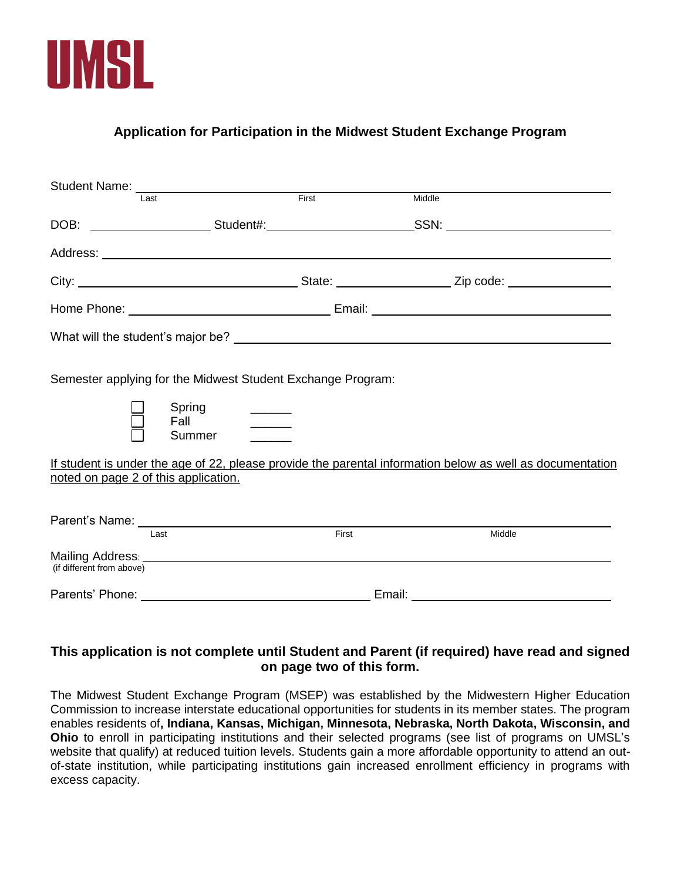

## **Application for Participation in the Midwest Student Exchange Program**

| Student Name: I ast First                                                                                                                         |                        |                               |        |
|---------------------------------------------------------------------------------------------------------------------------------------------------|------------------------|-------------------------------|--------|
|                                                                                                                                                   |                        | Middle                        |        |
|                                                                                                                                                   |                        |                               |        |
|                                                                                                                                                   |                        |                               |        |
|                                                                                                                                                   |                        |                               |        |
|                                                                                                                                                   |                        |                               |        |
| What will the student's major be?<br><u> What will</u> the student's major be?                                                                    |                        |                               |        |
| Semester applying for the Midwest Student Exchange Program:<br>Spring                                                                             |                        |                               |        |
|                                                                                                                                                   | Fall _______<br>Summer |                               |        |
| If student is under the age of 22, please provide the parental information below as well as documentation<br>noted on page 2 of this application. |                        |                               |        |
| Last                                                                                                                                              |                        | First                         | Middle |
| (if different from above)                                                                                                                         |                        |                               |        |
|                                                                                                                                                   |                        | Email: ______________________ |        |

## **This application is not complete until Student and Parent (if required) have read and signed on page two of this form.**

The Midwest Student Exchange Program (MSEP) was established by the Midwestern Higher Education Commission to increase interstate educational opportunities for students in its member states. The program enables residents of**, Indiana, Kansas, Michigan, Minnesota, Nebraska, North Dakota, Wisconsin, and Ohio** to enroll in participating institutions and their selected programs (see list of programs on UMSL's website that qualify) at reduced tuition levels. Students gain a more affordable opportunity to attend an outof-state institution, while participating institutions gain increased enrollment efficiency in programs with excess capacity.